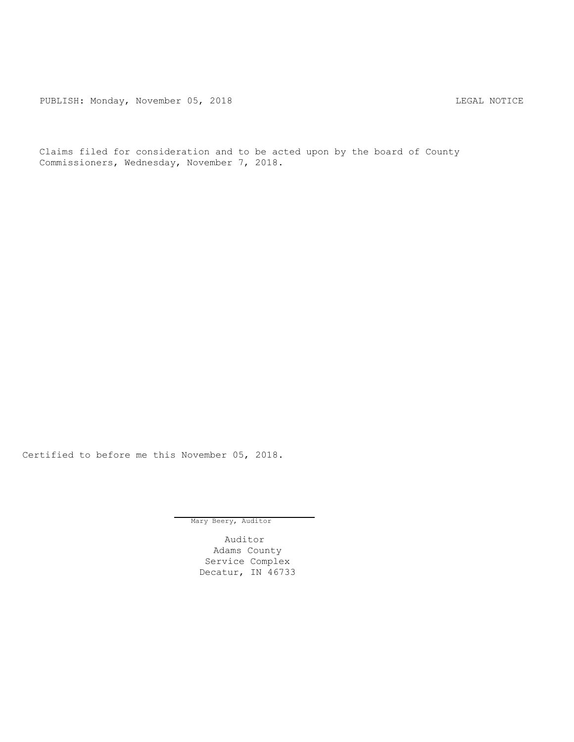PUBLISH: Monday, November 05, 2018 CHA CHANGE CONSERVATION CHANGE CONTROL PUBLISH: MOTICE

Claims filed for consideration and to be acted upon by the board of County Commissioners, Wednesday, November 7, 2018.

Certified to before me this November 05, 2018.

Mary Beery, Auditor

Auditor Adams County Service Complex Decatur, IN 46733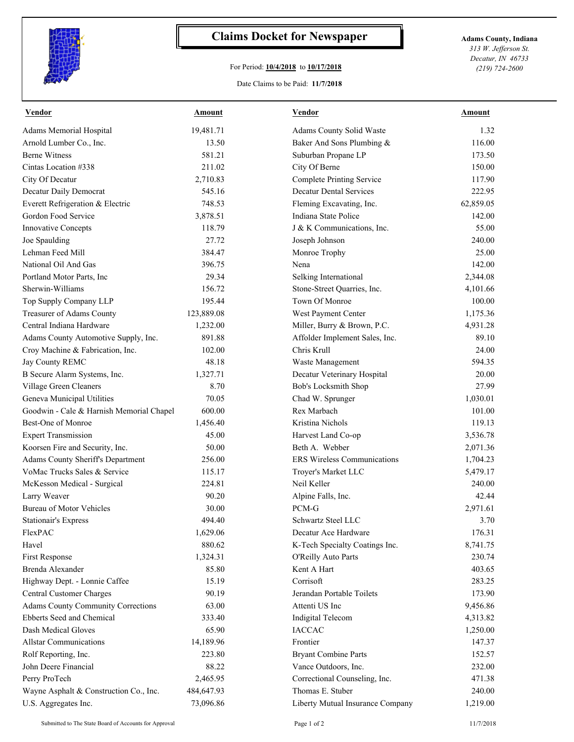

## **Claims Docket for Newspaper Adams County, Indiana**

## For Period: **10/4/2018** to **10/17/2018**

*313 W. Jefferson St. Decatur, IN 46733 (219) 724-2600*

## Date Claims to be Paid: **11/7/2018**

| <b>Vendor</b>                             | <b>Amount</b> | <b>Vendor</b>                      | Amount    |
|-------------------------------------------|---------------|------------------------------------|-----------|
| Adams Memorial Hospital                   | 19,481.71     | Adams County Solid Waste           | 1.32      |
| Arnold Lumber Co., Inc.                   | 13.50         | Baker And Sons Plumbing &          | 116.00    |
| <b>Berne Witness</b>                      | 581.21        | Suburban Propane LP                | 173.50    |
| Cintas Location #338                      | 211.02        | City Of Berne                      | 150.00    |
| City Of Decatur                           | 2,710.83      | <b>Complete Printing Service</b>   | 117.90    |
| Decatur Daily Democrat                    | 545.16        | <b>Decatur Dental Services</b>     | 222.95    |
| Everett Refrigeration & Electric          | 748.53        | Fleming Excavating, Inc.           | 62,859.05 |
| Gordon Food Service                       | 3,878.51      | Indiana State Police               | 142.00    |
| Innovative Concepts                       | 118.79        | J & K Communications, Inc.         | 55.00     |
| Joe Spaulding                             | 27.72         | Joseph Johnson                     | 240.00    |
| Lehman Feed Mill                          | 384.47        | Monroe Trophy                      | 25.00     |
| National Oil And Gas                      | 396.75        | Nena                               | 142.00    |
| Portland Motor Parts, Inc.                | 29.34         | Selking International              | 2,344.08  |
| Sherwin-Williams                          | 156.72        | Stone-Street Quarries, Inc.        | 4,101.66  |
| Top Supply Company LLP                    | 195.44        | Town Of Monroe                     | 100.00    |
| Treasurer of Adams County                 | 123,889.08    | West Payment Center                | 1,175.36  |
| Central Indiana Hardware                  | 1,232.00      | Miller, Burry & Brown, P.C.        | 4,931.28  |
| Adams County Automotive Supply, Inc.      | 891.88        | Affolder Implement Sales, Inc.     | 89.10     |
| Croy Machine & Fabrication, Inc.          | 102.00        | Chris Krull                        | 24.00     |
| Jay County REMC                           | 48.18         | Waste Management                   | 594.35    |
| B Secure Alarm Systems, Inc.              | 1,327.71      | Decatur Veterinary Hospital        | 20.00     |
| Village Green Cleaners                    | 8.70          | Bob's Locksmith Shop               | 27.99     |
| Geneva Municipal Utilities                | 70.05         | Chad W. Sprunger                   | 1,030.01  |
| Goodwin - Cale & Harnish Memorial Chapel  | 600.00        | Rex Marbach                        | 101.00    |
| Best-One of Monroe                        | 1,456.40      | Kristina Nichols                   | 119.13    |
| <b>Expert Transmission</b>                | 45.00         | Harvest Land Co-op                 | 3,536.78  |
| Koorsen Fire and Security, Inc.           | 50.00         | Beth A. Webber                     | 2,071.36  |
| Adams County Sheriff's Department         | 256.00        | <b>ERS</b> Wireless Communications | 1,704.23  |
| VoMac Trucks Sales & Service              | 115.17        | Troyer's Market LLC                | 5,479.17  |
| McKesson Medical - Surgical               | 224.81        | Neil Keller                        | 240.00    |
| Larry Weaver                              | 90.20         | Alpine Falls, Inc.                 | 42.44     |
| <b>Bureau of Motor Vehicles</b>           | 30.00         | PCM-G                              | 2,971.61  |
| Stationair's Express                      | 494.40        | Schwartz Steel LLC                 | 3.70      |
| FlexPAC                                   | 1,629.06      | Decatur Ace Hardware               | 176.31    |
| Havel                                     | 880.62        | K-Tech Specialty Coatings Inc.     | 8,741.75  |
| First Response                            | 1,324.31      | O'Reilly Auto Parts                | 230.74    |
| Brenda Alexander                          | 85.80         | Kent A Hart                        | 403.65    |
| Highway Dept. - Lonnie Caffee             | 15.19         | Corrisoft                          | 283.25    |
| Central Customer Charges                  | 90.19         | Jerandan Portable Toilets          | 173.90    |
| <b>Adams County Community Corrections</b> | 63.00         | Attenti US Inc                     | 9,456.86  |
| Ebberts Seed and Chemical                 | 333.40        | Indigital Telecom                  | 4,313.82  |
| Dash Medical Gloves                       | 65.90         | <b>IACCAC</b>                      | 1,250.00  |
| <b>Allstar Communications</b>             | 14,189.96     | Frontier                           | 147.37    |
| Rolf Reporting, Inc.                      | 223.80        | <b>Bryant Combine Parts</b>        | 152.57    |
| John Deere Financial                      | 88.22         | Vance Outdoors, Inc.               | 232.00    |
| Perry ProTech                             | 2,465.95      | Correctional Counseling, Inc.      | 471.38    |
| Wayne Asphalt & Construction Co., Inc.    | 484,647.93    | Thomas E. Stuber                   | 240.00    |
| U.S. Aggregates Inc.                      | 73,096.86     | Liberty Mutual Insurance Company   | 1,219.00  |